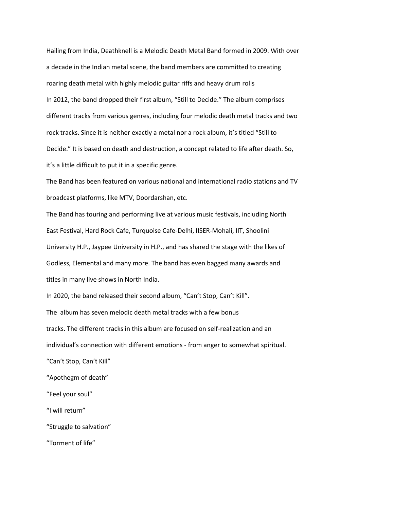Hailing from India, Deathknell is a Melodic Death Metal Band formed in 2009. With over a decade in the Indian metal scene, the band members are committed to creating roaring death metal with highly melodic guitar riffs and heavy drum rolls In 2012, the band dropped their first album, "Still to Decide." The album comprises different tracks from various genres, including four melodic death metal tracks and two rock tracks. Since it is neither exactly a metal nor a rock album, it's titled "Still to Decide." It is based on death and destruction, a concept related to life after death. So, it's a little difficult to put it in a specific genre.

The Band has been featured on various national and international radio stations and TV broadcast platforms, like MTV, Doordarshan, etc.

The Band has touring and performing live at various music festivals, including North East Festival, Hard Rock Cafe, Turquoise Cafe-Delhi, IISER-Mohali, IIT, Shoolini University H.P., Jaypee University in H.P., and has shared the stage with the likes of Godless, Elemental and many more. The band has even bagged many awards and titles in many live shows in North India.

In 2020, the band released their second album, "Can't Stop, Can't Kill". The album has seven melodic death metal tracks with a few bonus tracks. The different tracks in this album are focused on self-realization and an individual's connection with different emotions - from anger to somewhat spiritual. "Can't Stop, Can't Kill" "Apothegm of death" "Feel your soul" "I will return" "Struggle to salvation"

"Torment of life"